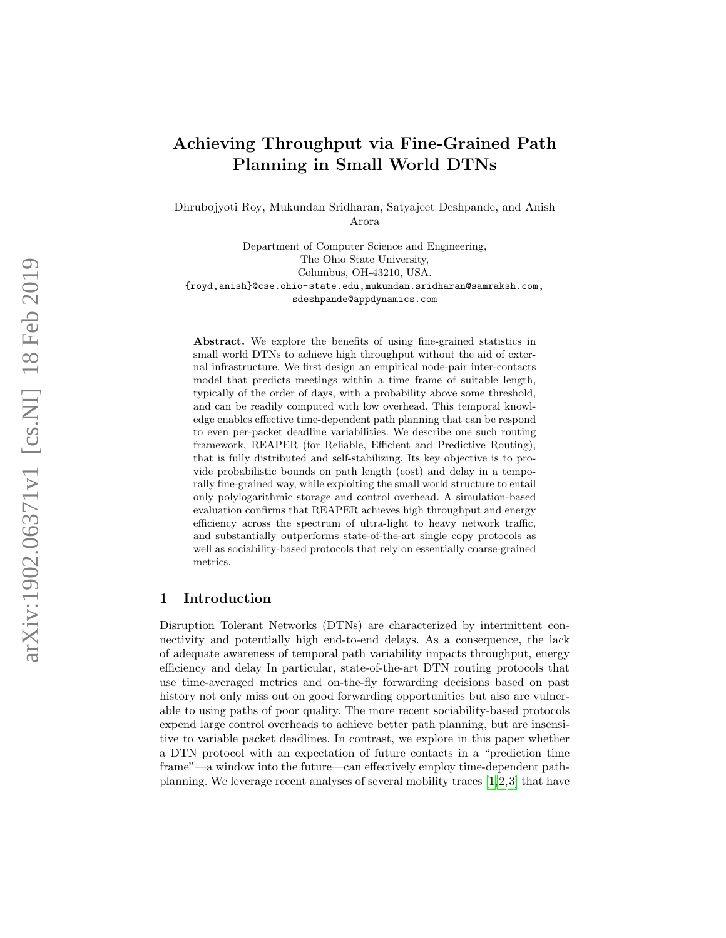# Achieving Throughput via Fine-Grained Path Planning in Small World DTNs

Dhrubojyoti Roy, Mukundan Sridharan, Satyajeet Deshpande, and Anish Arora

Department of Computer Science and Engineering, The Ohio State University, Columbus, OH-43210, USA. {royd,anish}@cse.ohio-state.edu,mukundan.sridharan@samraksh.com, sdeshpande@appdynamics.com

Abstract. We explore the benefits of using fine-grained statistics in small world DTNs to achieve high throughput without the aid of external infrastructure. We first design an empirical node-pair inter-contacts model that predicts meetings within a time frame of suitable length, typically of the order of days, with a probability above some threshold, and can be readily computed with low overhead. This temporal knowledge enables effective time-dependent path planning that can be respond to even per-packet deadline variabilities. We describe one such routing framework, REAPER (for Reliable, Efficient and Predictive Routing), that is fully distributed and self-stabilizing. Its key objective is to provide probabilistic bounds on path length (cost) and delay in a temporally fine-grained way, while exploiting the small world structure to entail only polylogarithmic storage and control overhead. A simulation-based evaluation confirms that REAPER achieves high throughput and energy efficiency across the spectrum of ultra-light to heavy network traffic, and substantially outperforms state-of-the-art single copy protocols as well as sociability-based protocols that rely on essentially coarse-grained metrics.

## 1 Introduction

Disruption Tolerant Networks (DTNs) are characterized by intermittent connectivity and potentially high end-to-end delays. As a consequence, the lack of adequate awareness of temporal path variability impacts throughput, energy efficiency and delay In particular, state-of-the-art DTN routing protocols that use time-averaged metrics and on-the-fly forwarding decisions based on past history not only miss out on good forwarding opportunities but also are vulnerable to using paths of poor quality. The more recent sociability-based protocols expend large control overheads to achieve better path planning, but are insensitive to variable packet deadlines. In contrast, we explore in this paper whether a DTN protocol with an expectation of future contacts in a "prediction time frame"—a window into the future—can effectively employ time-dependent pathplanning. We leverage recent analyses of several mobility traces [\[1,](#page-13-0)[2,](#page-14-0)[3\]](#page-14-1) that have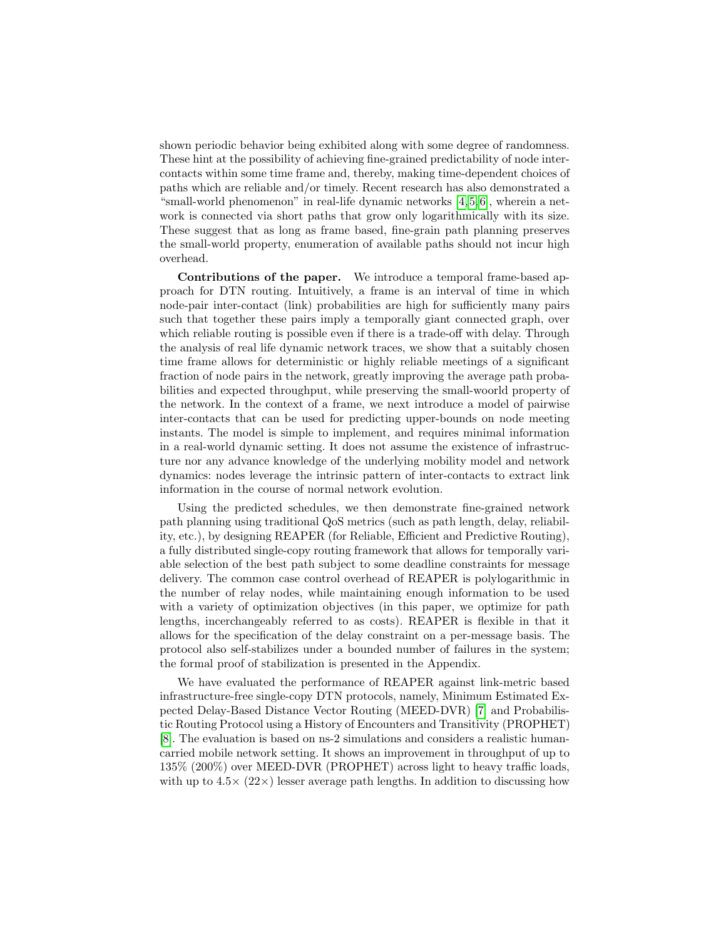shown periodic behavior being exhibited along with some degree of randomness. These hint at the possibility of achieving fine-grained predictability of node intercontacts within some time frame and, thereby, making time-dependent choices of paths which are reliable and/or timely. Recent research has also demonstrated a "small-world phenomenon" in real-life dynamic networks [\[4,](#page-14-2) [5,](#page-14-3) [6\]](#page-14-4), wherein a network is connected via short paths that grow only logarithmically with its size. These suggest that as long as frame based, fine-grain path planning preserves the small-world property, enumeration of available paths should not incur high overhead.

Contributions of the paper. We introduce a temporal frame-based approach for DTN routing. Intuitively, a frame is an interval of time in which node-pair inter-contact (link) probabilities are high for sufficiently many pairs such that together these pairs imply a temporally giant connected graph, over which reliable routing is possible even if there is a trade-off with delay. Through the analysis of real life dynamic network traces, we show that a suitably chosen time frame allows for deterministic or highly reliable meetings of a significant fraction of node pairs in the network, greatly improving the average path probabilities and expected throughput, while preserving the small-woorld property of the network. In the context of a frame, we next introduce a model of pairwise inter-contacts that can be used for predicting upper-bounds on node meeting instants. The model is simple to implement, and requires minimal information in a real-world dynamic setting. It does not assume the existence of infrastructure nor any advance knowledge of the underlying mobility model and network dynamics: nodes leverage the intrinsic pattern of inter-contacts to extract link information in the course of normal network evolution.

Using the predicted schedules, we then demonstrate fine-grained network path planning using traditional QoS metrics (such as path length, delay, reliability, etc.), by designing REAPER (for Reliable, Efficient and Predictive Routing), a fully distributed single-copy routing framework that allows for temporally variable selection of the best path subject to some deadline constraints for message delivery. The common case control overhead of REAPER is polylogarithmic in the number of relay nodes, while maintaining enough information to be used with a variety of optimization objectives (in this paper, we optimize for path lengths, incerchangeably referred to as costs). REAPER is flexible in that it allows for the specification of the delay constraint on a per-message basis. The protocol also self-stabilizes under a bounded number of failures in the system; the formal proof of stabilization is presented in the Appendix.

We have evaluated the performance of REAPER against link-metric based infrastructure-free single-copy DTN protocols, namely, Minimum Estimated Expected Delay-Based Distance Vector Routing (MEED-DVR) [\[7\]](#page-14-5) and Probabilistic Routing Protocol using a History of Encounters and Transitivity (PROPHET) [\[8\]](#page-14-6). The evaluation is based on ns-2 simulations and considers a realistic humancarried mobile network setting. It shows an improvement in throughput of up to 135% (200%) over MEED-DVR (PROPHET) across light to heavy traffic loads, with up to  $4.5 \times (22 \times)$  lesser average path lengths. In addition to discussing how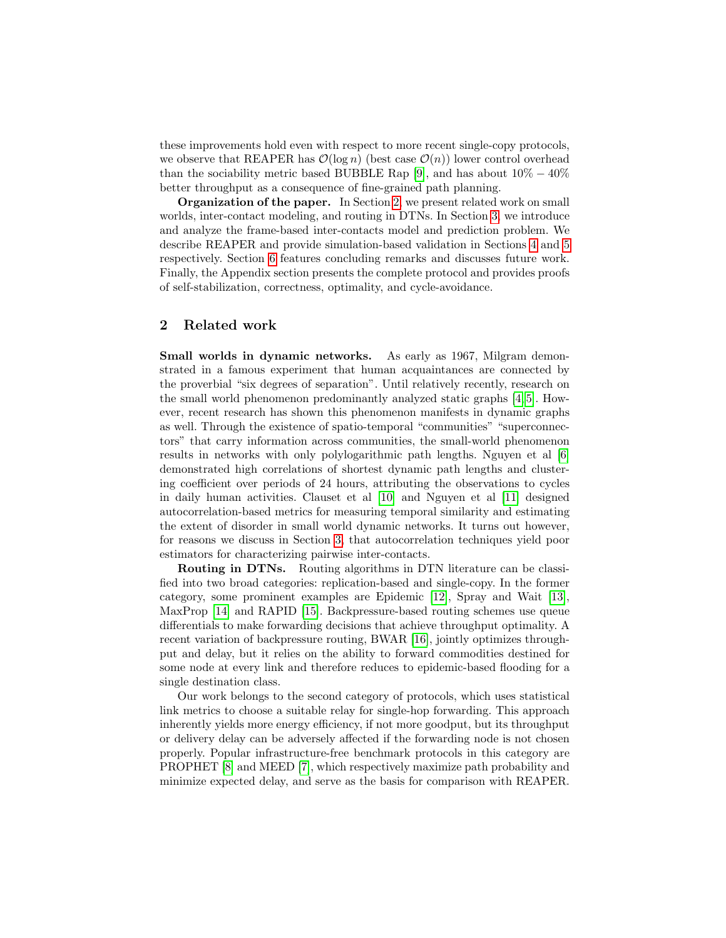these improvements hold even with respect to more recent single-copy protocols, we observe that REAPER has  $\mathcal{O}(\log n)$  (best case  $\mathcal{O}(n)$ ) lower control overhead than the sociability metric based BUBBLE Rap [\[9\]](#page-14-7), and has about  $10\% - 40\%$ better throughput as a consequence of fine-grained path planning.

Organization of the paper. In Section [2,](#page-2-0) we present related work on small worlds, inter-contact modeling, and routing in DTNs. In Section [3,](#page-3-0) we introduce and analyze the frame-based inter-contacts model and prediction problem. We describe REAPER and provide simulation-based validation in Sections [4](#page-7-0) and [5](#page-11-0) respectively. Section [6](#page-13-1) features concluding remarks and discusses future work. Finally, the Appendix section presents the complete protocol and provides proofs of self-stabilization, correctness, optimality, and cycle-avoidance.

# <span id="page-2-0"></span>2 Related work

Small worlds in dynamic networks. As early as 1967, Milgram demonstrated in a famous experiment that human acquaintances are connected by the proverbial "six degrees of separation". Until relatively recently, research on the small world phenomenon predominantly analyzed static graphs [\[4,](#page-14-2) [5\]](#page-14-3). However, recent research has shown this phenomenon manifests in dynamic graphs as well. Through the existence of spatio-temporal "communities" "superconnectors" that carry information across communities, the small-world phenomenon results in networks with only polylogarithmic path lengths. Nguyen et al [\[6\]](#page-14-4) demonstrated high correlations of shortest dynamic path lengths and clustering coefficient over periods of 24 hours, attributing the observations to cycles in daily human activities. Clauset et al [\[10\]](#page-14-8) and Nguyen et al [\[11\]](#page-14-9) designed autocorrelation-based metrics for measuring temporal similarity and estimating the extent of disorder in small world dynamic networks. It turns out however, for reasons we discuss in Section [3,](#page-3-0) that autocorrelation techniques yield poor estimators for characterizing pairwise inter-contacts.

Routing in DTNs. Routing algorithms in DTN literature can be classified into two broad categories: replication-based and single-copy. In the former category, some prominent examples are Epidemic [\[12\]](#page-14-10), Spray and Wait [\[13\]](#page-14-11), MaxProp [\[14\]](#page-14-12) and RAPID [\[15\]](#page-14-13). Backpressure-based routing schemes use queue differentials to make forwarding decisions that achieve throughput optimality. A recent variation of backpressure routing, BWAR [\[16\]](#page-14-14), jointly optimizes throughput and delay, but it relies on the ability to forward commodities destined for some node at every link and therefore reduces to epidemic-based flooding for a single destination class.

Our work belongs to the second category of protocols, which uses statistical link metrics to choose a suitable relay for single-hop forwarding. This approach inherently yields more energy efficiency, if not more goodput, but its throughput or delivery delay can be adversely affected if the forwarding node is not chosen properly. Popular infrastructure-free benchmark protocols in this category are PROPHET [\[8\]](#page-14-6) and MEED [\[7\]](#page-14-5), which respectively maximize path probability and minimize expected delay, and serve as the basis for comparison with REAPER.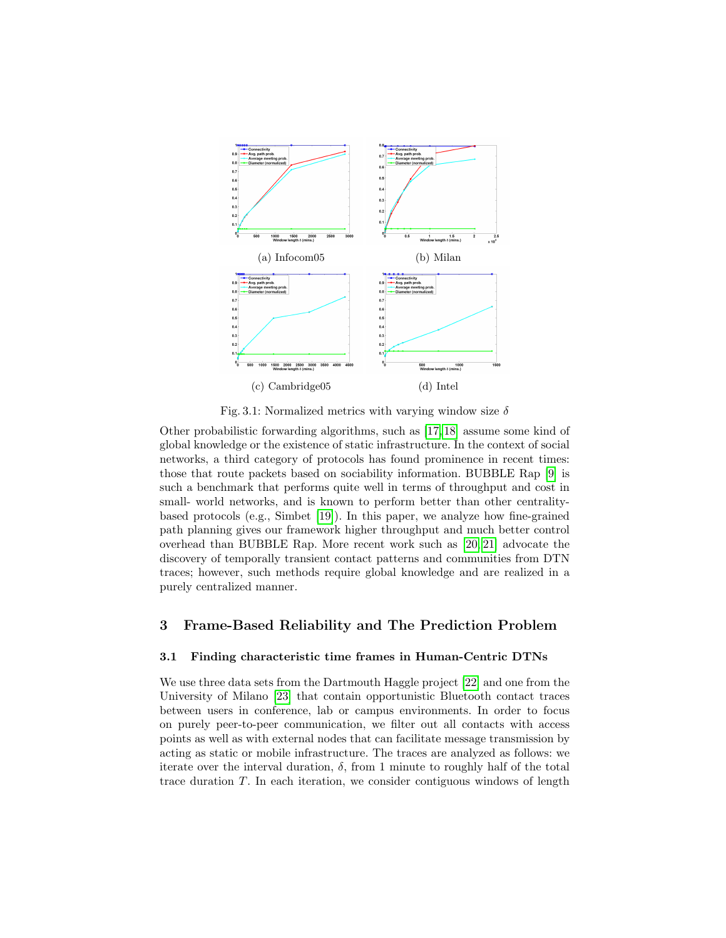<span id="page-3-1"></span>

Fig. 3.1: Normalized metrics with varying window size  $\delta$ 

Other probabilistic forwarding algorithms, such as [\[17,](#page-14-15) [18\]](#page-14-16) assume some kind of global knowledge or the existence of static infrastructure. In the context of social networks, a third category of protocols has found prominence in recent times: those that route packets based on sociability information. BUBBLE Rap [\[9\]](#page-14-7) is such a benchmark that performs quite well in terms of throughput and cost in small- world networks, and is known to perform better than other centralitybased protocols (e.g., Simbet [\[19\]](#page-14-17)). In this paper, we analyze how fine-grained path planning gives our framework higher throughput and much better control overhead than BUBBLE Rap. More recent work such as [\[20,](#page-14-18) [21\]](#page-14-19) advocate the discovery of temporally transient contact patterns and communities from DTN traces; however, such methods require global knowledge and are realized in a purely centralized manner.

# <span id="page-3-0"></span>3 Frame-Based Reliability and The Prediction Problem

## 3.1 Finding characteristic time frames in Human-Centric DTNs

We use three data sets from the Dartmouth Haggle project [\[22\]](#page-14-20) and one from the University of Milano [\[23\]](#page-14-21) that contain opportunistic Bluetooth contact traces between users in conference, lab or campus environments. In order to focus on purely peer-to-peer communication, we filter out all contacts with access points as well as with external nodes that can facilitate message transmission by acting as static or mobile infrastructure. The traces are analyzed as follows: we iterate over the interval duration,  $\delta$ , from 1 minute to roughly half of the total trace duration T. In each iteration, we consider contiguous windows of length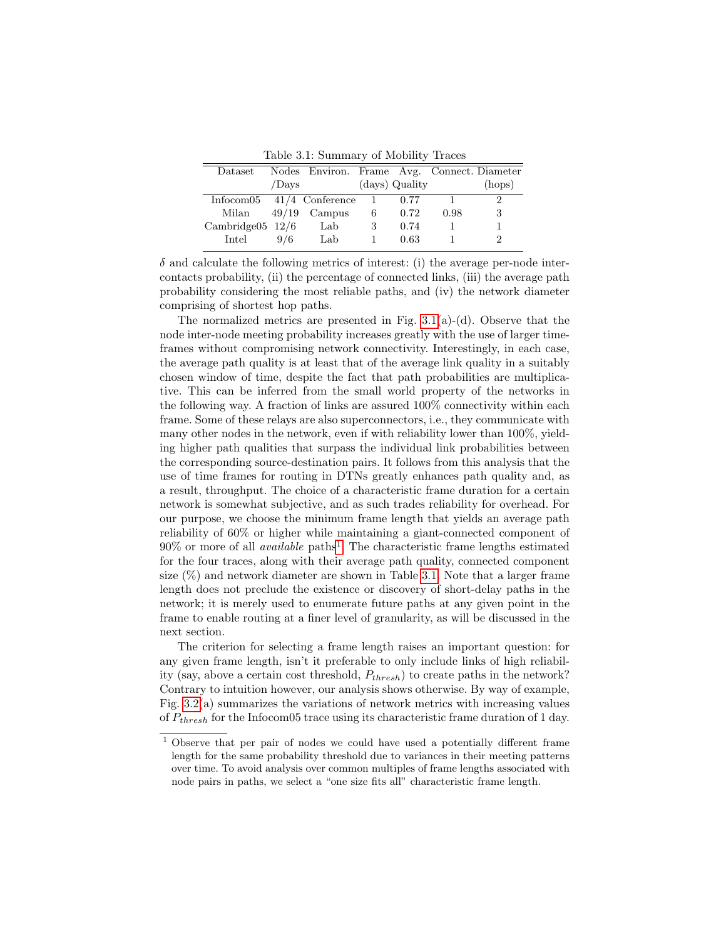Table 3.1: Summary of Mobility Traces

<span id="page-4-1"></span>

| Dataset                       |       | Nodes Environ. Frame Avg. Connect. Diameter |                |                |      |        |
|-------------------------------|-------|---------------------------------------------|----------------|----------------|------|--------|
|                               | /Days |                                             |                | (days) Quality |      | (hops) |
| Information $41/4$ Conference |       |                                             | $\overline{1}$ | 0.77           |      |        |
| Milan                         |       | $49/19$ Campus                              | 6              | 0.72           | 0.98 |        |
| Cambridge $05\;12/6$          |       | Lab                                         | 3              | 0.74           |      |        |
| Intel                         | 9/6   | Lab                                         |                | 0.63           |      |        |

 $\delta$  and calculate the following metrics of interest: (i) the average per-node intercontacts probability, (ii) the percentage of connected links, (iii) the average path probability considering the most reliable paths, and (iv) the network diameter comprising of shortest hop paths.

The normalized metrics are presented in Fig.  $3.1(a)-(d)$ . Observe that the node inter-node meeting probability increases greatly with the use of larger timeframes without compromising network connectivity. Interestingly, in each case, the average path quality is at least that of the average link quality in a suitably chosen window of time, despite the fact that path probabilities are multiplicative. This can be inferred from the small world property of the networks in the following way. A fraction of links are assured 100% connectivity within each frame. Some of these relays are also superconnectors, i.e., they communicate with many other nodes in the network, even if with reliability lower than 100%, yielding higher path qualities that surpass the individual link probabilities between the corresponding source-destination pairs. It follows from this analysis that the use of time frames for routing in DTNs greatly enhances path quality and, as a result, throughput. The choice of a characteristic frame duration for a certain network is somewhat subjective, and as such trades reliability for overhead. For our purpose, we choose the minimum frame length that yields an average path reliability of 60% or higher while maintaining a giant-connected component of  $90\%$  or more of all *available* paths<sup>[1](#page-4-0)</sup>. The characteristic frame lengths estimated for the four traces, along with their average path quality, connected component size  $(\%)$  and network diameter are shown in Table [3.1.](#page-4-1) Note that a larger frame length does not preclude the existence or discovery of short-delay paths in the network; it is merely used to enumerate future paths at any given point in the frame to enable routing at a finer level of granularity, as will be discussed in the next section.

The criterion for selecting a frame length raises an important question: for any given frame length, isn't it preferable to only include links of high reliability (say, above a certain cost threshold,  $P_{thresh}$ ) to create paths in the network? Contrary to intuition however, our analysis shows otherwise. By way of example, Fig. [3.2\(](#page-5-0)a) summarizes the variations of network metrics with increasing values of  $P_{thresh}$  for the Infocom05 trace using its characteristic frame duration of 1 day.

<span id="page-4-0"></span><sup>1</sup> Observe that per pair of nodes we could have used a potentially different frame length for the same probability threshold due to variances in their meeting patterns over time. To avoid analysis over common multiples of frame lengths associated with node pairs in paths, we select a "one size fits all" characteristic frame length.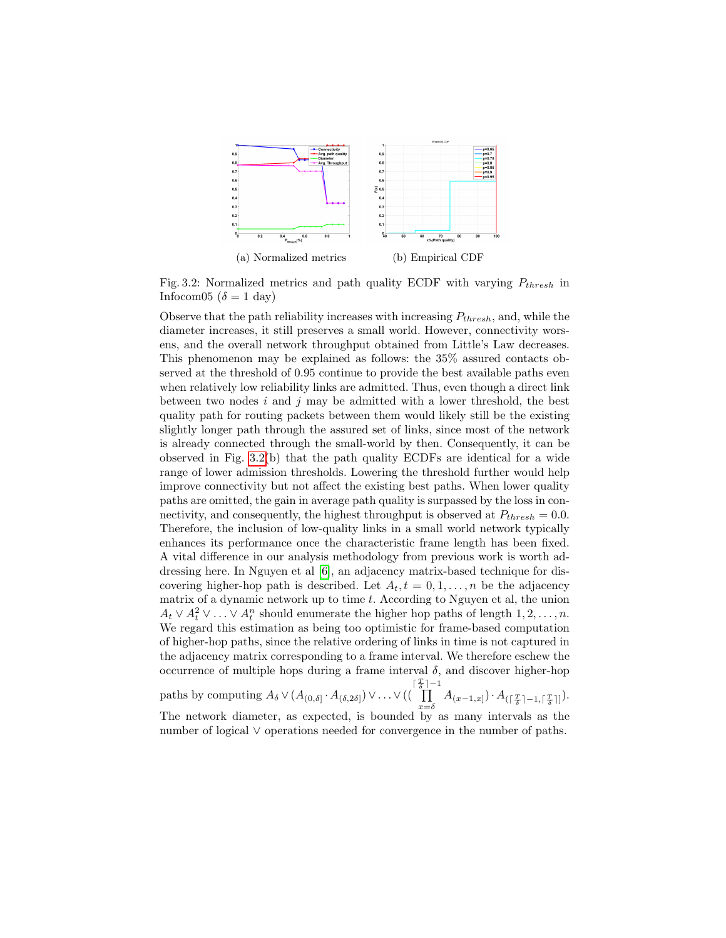<span id="page-5-0"></span>

Fig. 3.2: Normalized metrics and path quality ECDF with varying  $P_{thresh}$  in Infocom05 ( $\delta = 1$  day)

Observe that the path reliability increases with increasing  $P_{thresh}$ , and, while the diameter increases, it still preserves a small world. However, connectivity worsens, and the overall network throughput obtained from Little's Law decreases. This phenomenon may be explained as follows: the 35% assured contacts observed at the threshold of 0.95 continue to provide the best available paths even when relatively low reliability links are admitted. Thus, even though a direct link between two nodes  $i$  and  $j$  may be admitted with a lower threshold, the best quality path for routing packets between them would likely still be the existing slightly longer path through the assured set of links, since most of the network is already connected through the small-world by then. Consequently, it can be observed in Fig. [3.2\(](#page-5-0)b) that the path quality ECDFs are identical for a wide range of lower admission thresholds. Lowering the threshold further would help improve connectivity but not affect the existing best paths. When lower quality paths are omitted, the gain in average path quality is surpassed by the loss in connectivity, and consequently, the highest throughput is observed at  $P_{thresh} = 0.0$ . Therefore, the inclusion of low-quality links in a small world network typically enhances its performance once the characteristic frame length has been fixed. A vital difference in our analysis methodology from previous work is worth addressing here. In Nguyen et al [\[6\]](#page-14-4), an adjacency matrix-based technique for discovering higher-hop path is described. Let  $A_t, t = 0, 1, \ldots, n$  be the adjacency matrix of a dynamic network up to time  $t$ . According to Nguyen et al, the union  $A_t \vee A_t^2 \vee \ldots \vee A_t^n$  should enumerate the higher hop paths of length  $1, 2, \ldots, n$ . We regard this estimation as being too optimistic for frame-based computation of higher-hop paths, since the relative ordering of links in time is not captured in the adjacency matrix corresponding to a frame interval. We therefore eschew the occurrence of multiple hops during a frame interval  $\delta$ , and discover higher-hop  $\begin{bmatrix} \frac{T}{\delta} \\ \frac{T}{\delta} \end{bmatrix}$ 

paths by computing  $A_{\delta} \vee (A_{(0,\delta]} \cdot A_{(\delta,2\delta]}) \vee \ldots \vee ((\delta_{\delta})$  $\prod_{x=\delta} A_{(x-1,x]}) \cdot A_{(\lceil \frac{T}{\delta} \rceil-1, \lceil \frac{T}{\delta} \rceil]})$ . The network diameter, as expected, is bounded by as many intervals as the number of logical ∨ operations needed for convergence in the number of paths.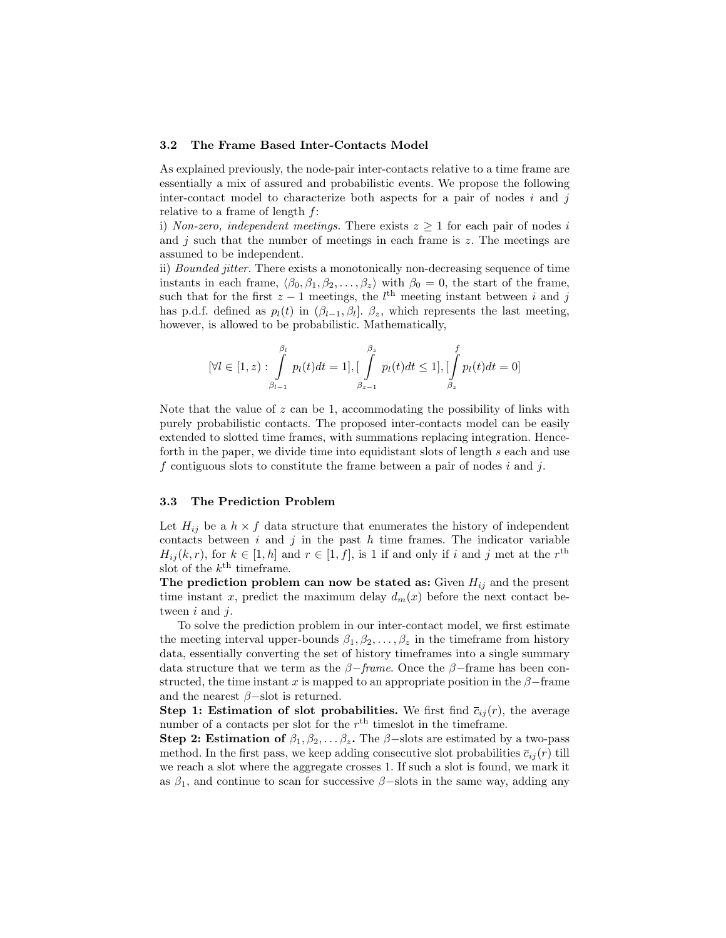#### 3.2 The Frame Based Inter-Contacts Model

As explained previously, the node-pair inter-contacts relative to a time frame are essentially a mix of assured and probabilistic events. We propose the following inter-contact model to characterize both aspects for a pair of nodes  $i$  and  $j$ relative to a frame of length f:

i) Non-zero, independent meetings. There exists  $z \geq 1$  for each pair of nodes i and  $j$  such that the number of meetings in each frame is  $z$ . The meetings are assumed to be independent.

ii) Bounded jitter. There exists a monotonically non-decreasing sequence of time instants in each frame,  $\langle \beta_0, \beta_1, \beta_2, \dots, \beta_z \rangle$  with  $\beta_0 = 0$ , the start of the frame, such that for the first  $z - 1$  meetings, the  $l<sup>th</sup>$  meeting instant between i and j has p.d.f. defined as  $p_l(t)$  in  $(\beta_{l-1}, \beta_l]$ .  $\beta_z$ , which represents the last meeting, however, is allowed to be probabilistic. Mathematically,

$$
[\forall l \in [1, z) : \int_{\beta_{l-1}}^{\beta_l} p_l(t)dt = 1], [\int_{\beta_{z-1}}^{\beta_z} p_l(t)dt \le 1], [\int_{\beta_z}^f p_l(t)dt = 0]
$$

Note that the value of  $z$  can be 1, accommodating the possibility of links with purely probabilistic contacts. The proposed inter-contacts model can be easily extended to slotted time frames, with summations replacing integration. Henceforth in the paper, we divide time into equidistant slots of length s each and use f contiguous slots to constitute the frame between a pair of nodes i and j.

## 3.3 The Prediction Problem

Let  $H_{ij}$  be a  $h \times f$  data structure that enumerates the history of independent contacts between  $i$  and  $j$  in the past  $h$  time frames. The indicator variable  $H_{ij}(k, r)$ , for  $k \in [1, h]$  and  $r \in [1, f]$ , is 1 if and only if i and j met at the  $r<sup>th</sup>$ slot of the  $k^{\text{th}}$  timeframe.

The prediction problem can now be stated as: Given  $H_{ij}$  and the present time instant x, predict the maximum delay  $d_m(x)$  before the next contact between  $i$  and  $j$ .

To solve the prediction problem in our inter-contact model, we first estimate the meeting interval upper-bounds  $\beta_1, \beta_2, \ldots, \beta_z$  in the timeframe from history data, essentially converting the set of history timeframes into a single summary data structure that we term as the  $\beta$ -frame. Once the  $\beta$ -frame has been constructed, the time instant x is mapped to an appropriate position in the  $\beta$ -frame and the nearest  $\beta$ –slot is returned.

**Step 1: Estimation of slot probabilities.** We first find  $\bar{c}_{ij}(r)$ , the average number of a contacts per slot for the  $r<sup>th</sup>$  timeslot in the timeframe.

Step 2: Estimation of  $\beta_1, \beta_2, \ldots, \beta_z$ . The  $\beta$ -slots are estimated by a two-pass method. In the first pass, we keep adding consecutive slot probabilities  $\bar{c}_{ij}(r)$  till we reach a slot where the aggregate crosses 1. If such a slot is found, we mark it as  $\beta_1$ , and continue to scan for successive  $\beta$ –slots in the same way, adding any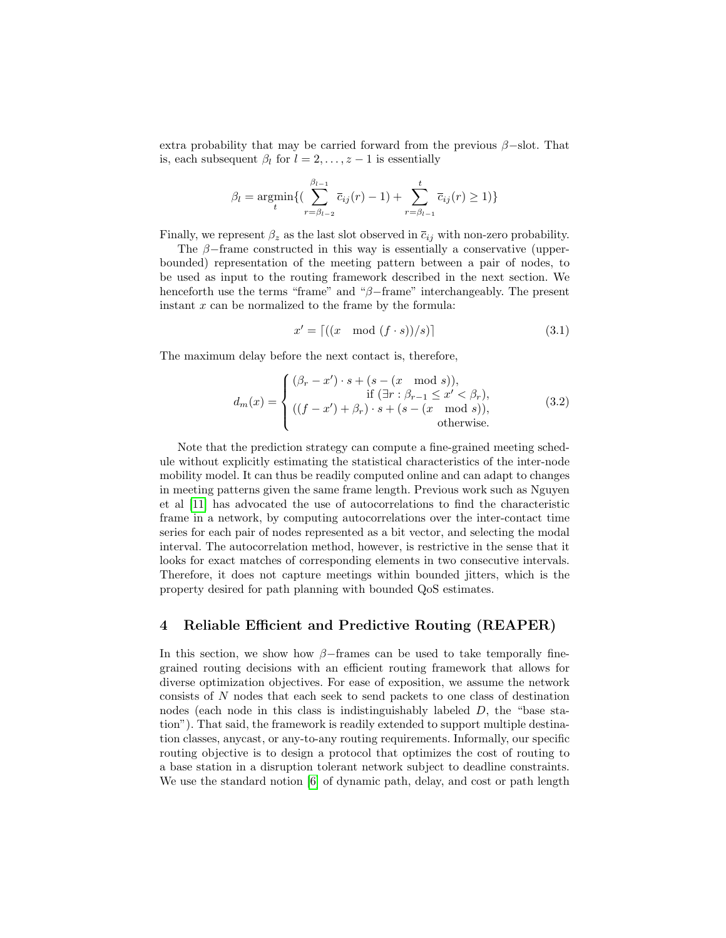extra probability that may be carried forward from the previous  $\beta$ –slot. That is, each subsequent  $\beta_l$  for  $l = 2, \ldots, z - 1$  is essentially

$$
\beta_l = \underset{t}{\text{argmin}} \{ (\sum_{r=\beta_{l-2}}^{\beta_{l-1}} \bar{c}_{ij}(r) - 1) + \sum_{r=\beta_{l-1}}^{t} \bar{c}_{ij}(r) \ge 1) \}
$$

Finally, we represent  $\beta_z$  as the last slot observed in  $\overline{c}_{ij}$  with non-zero probability.

The  $\beta$ -frame constructed in this way is essentially a conservative (upperbounded) representation of the meeting pattern between a pair of nodes, to be used as input to the routing framework described in the next section. We henceforth use the terms "frame" and "β−frame" interchangeably. The present instant  $x$  can be normalized to the frame by the formula:

<span id="page-7-1"></span>
$$
x' = \left[ \left( (x \mod (f \cdot s)) / s \right) \right] \tag{3.1}
$$

The maximum delay before the next contact is, therefore,

$$
d_m(x) = \begin{cases} (\beta_r - x') \cdot s + (s - (x \mod s)), & \text{if } (\exists r : \beta_{r-1} \le x' < \beta_r), \\ ((f - x') + \beta_r) \cdot s + (s - (x \mod s)), & \text{otherwise.} \end{cases} \tag{3.2}
$$

Note that the prediction strategy can compute a fine-grained meeting schedule without explicitly estimating the statistical characteristics of the inter-node mobility model. It can thus be readily computed online and can adapt to changes in meeting patterns given the same frame length. Previous work such as Nguyen et al [\[11\]](#page-14-9) has advocated the use of autocorrelations to find the characteristic frame in a network, by computing autocorrelations over the inter-contact time series for each pair of nodes represented as a bit vector, and selecting the modal interval. The autocorrelation method, however, is restrictive in the sense that it looks for exact matches of corresponding elements in two consecutive intervals. Therefore, it does not capture meetings within bounded jitters, which is the property desired for path planning with bounded QoS estimates.

# <span id="page-7-0"></span>4 Reliable Efficient and Predictive Routing (REAPER)

In this section, we show how  $\beta$ −frames can be used to take temporally finegrained routing decisions with an efficient routing framework that allows for diverse optimization objectives. For ease of exposition, we assume the network consists of N nodes that each seek to send packets to one class of destination nodes (each node in this class is indistinguishably labeled D, the "base station"). That said, the framework is readily extended to support multiple destination classes, anycast, or any-to-any routing requirements. Informally, our specific routing objective is to design a protocol that optimizes the cost of routing to a base station in a disruption tolerant network subject to deadline constraints. We use the standard notion [\[6\]](#page-14-4) of dynamic path, delay, and cost or path length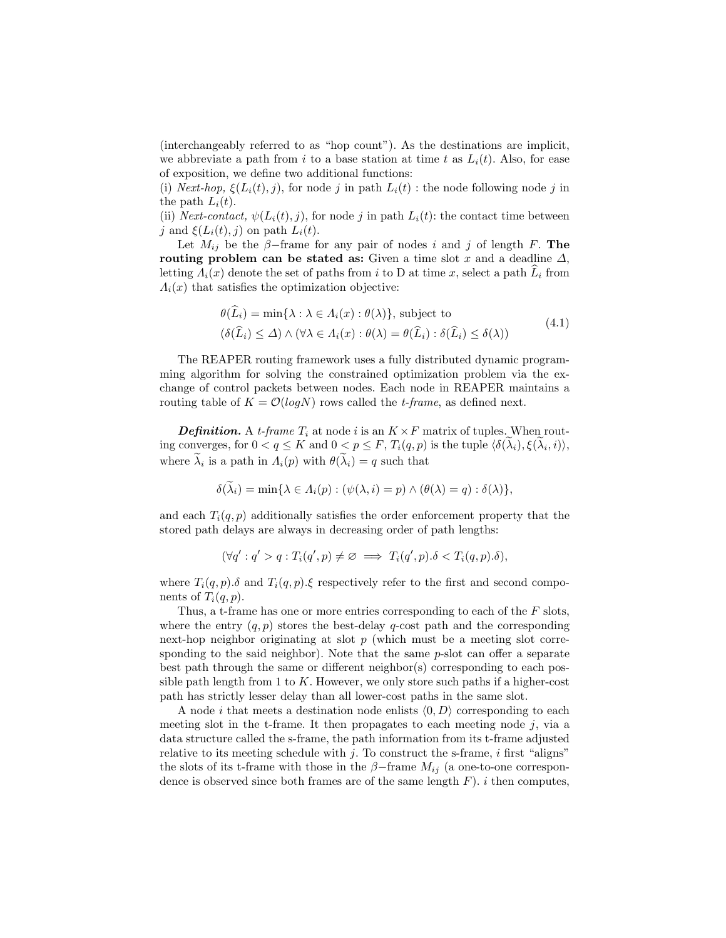(interchangeably referred to as "hop count"). As the destinations are implicit, we abbreviate a path from i to a base station at time t as  $L_i(t)$ . Also, for ease of exposition, we define two additional functions:

(i) Next-hop,  $\xi(L_i(t), j)$ , for node j in path  $L_i(t)$ : the node following node j in the path  $L_i(t)$ .

(ii) Next-contact,  $\psi(L_i(t), j)$ , for node j in path  $L_i(t)$ : the contact time between j and  $\xi(L_i(t), j)$  on path  $L_i(t)$ .

Let  $M_{ij}$  be the  $\beta$ -frame for any pair of nodes i and j of length F. The routing problem can be stated as: Given a time slot x and a deadline  $\Delta$ , letting  $\Lambda_i(x)$  denote the set of paths from i to D at time x, select a path  $\overline{L}_i$  from  $\Lambda_i(x)$  that satisfies the optimization objective:

$$
\theta(L_i) = \min\{\lambda : \lambda \in \Lambda_i(x) : \theta(\lambda)\}, \text{ subject to}
$$

$$
(\delta(\widehat{L}_i) \leq \Delta) \land (\forall \lambda \in \Lambda_i(x) : \theta(\lambda) = \theta(\widehat{L}_i) : \delta(\widehat{L}_i) \leq \delta(\lambda))
$$
(4.1)

<span id="page-8-0"></span>The REAPER routing framework uses a fully distributed dynamic programming algorithm for solving the constrained optimization problem via the exchange of control packets between nodes. Each node in REAPER maintains a routing table of  $K = \mathcal{O}(log N)$  rows called the *t-frame*, as defined next.

**Definition.** A t-frame  $T_i$  at node i is an  $K \times F$  matrix of tuples. When routing converges, for  $0 < q \leq K$  and  $0 < p \leq F$ ,  $T_i(q, p)$  is the tuple  $\langle \delta(\lambda_i), \xi(\lambda_i, i) \rangle$ , where  $\lambda_i$  is a path in  $\Lambda_i(p)$  with  $\theta(\lambda_i) = q$  such that

$$
\delta(\lambda_i) = \min\{\lambda \in \Lambda_i(p) : (\psi(\lambda, i) = p) \land (\theta(\lambda) = q) : \delta(\lambda)\},\
$$

and each  $T_i(q, p)$  additionally satisfies the order enforcement property that the stored path delays are always in decreasing order of path lengths:

$$
(\forall q': q' > q : T_i(q', p) \neq \varnothing \implies T_i(q', p) . \delta < T_i(q, p) . \delta),
$$

where  $T_i(q, p)$ . δ and  $T_i(q, p)$ . ξ respectively refer to the first and second components of  $T_i(q, p)$ .

Thus, a t-frame has one or more entries corresponding to each of the  $F$  slots, where the entry  $(q, p)$  stores the best-delay q-cost path and the corresponding next-hop neighbor originating at slot  $p$  (which must be a meeting slot corresponding to the said neighbor). Note that the same *p*-slot can offer a separate best path through the same or different neighbor(s) corresponding to each possible path length from 1 to  $K$ . However, we only store such paths if a higher-cost path has strictly lesser delay than all lower-cost paths in the same slot.

A node i that meets a destination node enlists  $\langle 0, D \rangle$  corresponding to each meeting slot in the t-frame. It then propagates to each meeting node  $j$ , via a data structure called the s-frame, the path information from its t-frame adjusted relative to its meeting schedule with  $i$ . To construct the s-frame,  $i$  first "aligns" the slots of its t-frame with those in the  $\beta$ -frame  $M_{ij}$  (a one-to-one correspondence is observed since both frames are of the same length  $F$ ). i then computes,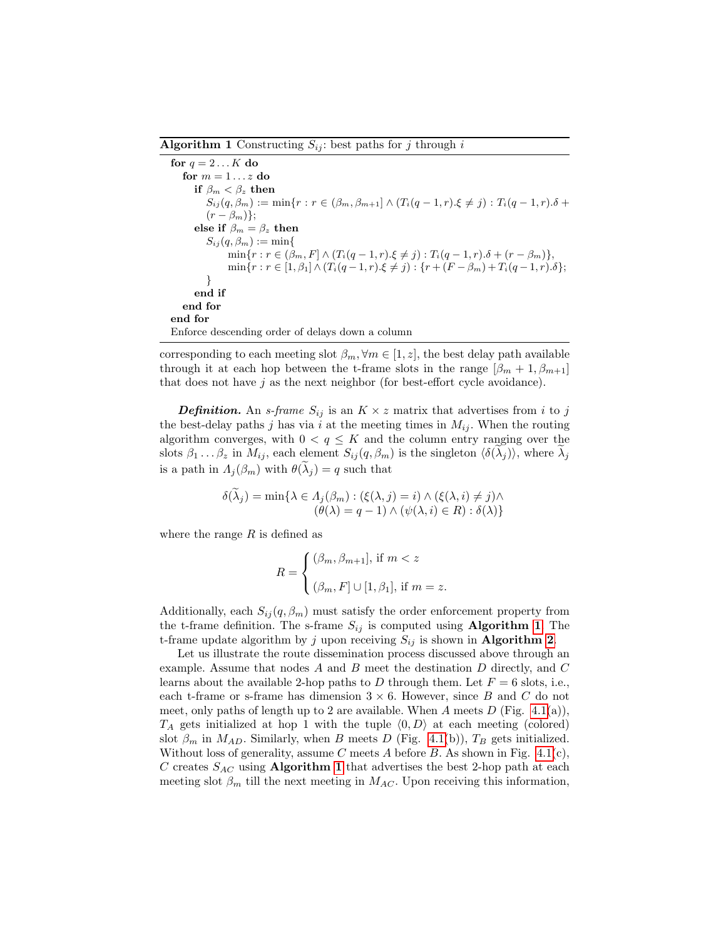#### <span id="page-9-0"></span>**Algorithm 1** Constructing  $S_{ii}$ : best paths for j through i

```
for q = 2...K do
   for m = 1...z do
      if \beta_m < \beta_z then
         S_{ij}(q, \beta_m) := \min\{r : r \in (\beta_m, \beta_{m+1}] \wedge (T_i(q-1,r), \xi \neq j) : T_i(q-1,r) \delta +(r - \beta_m);
      else if \beta_m = \beta_z then
         S_{ij}(q, \beta_m) := \min\{\min\{r : r \in (\beta_m, F] \wedge (T_i(q-1,r).\xi \neq j) : T_i(q-1,r).\delta + (r - \beta_m)\},\\min\{r : r \in [1, \beta_1] \wedge (T_i(q-1,r).\xi \neq j) : \{r + (F - \beta_m) + T_i(q-1,r).\delta\};\}
      end if
   end for
end for
Enforce descending order of delays down a column
```
corresponding to each meeting slot  $\beta_m$ ,  $\forall m \in [1, z]$ , the best delay path available through it at each hop between the t-frame slots in the range  $[\beta_m + 1, \beta_{m+1}]$ that does not have  $j$  as the next neighbor (for best-effort cycle avoidance).

**Definition.** An *s*-frame  $S_{ij}$  is an  $K \times z$  matrix that advertises from i to j the best-delay paths j has via i at the meeting times in  $M_{ij}$ . When the routing algorithm converges, with  $0 < q \leq K$  and the column entry ranging over the slots  $\beta_1 \dots \beta_z$  in  $M_{ij}$ , each element  $S_{ij}(q, \beta_m)$  is the singleton  $\langle \delta(\lambda_j) \rangle$ , where  $\lambda_j$ is a path in  $\Lambda_i(\beta_m)$  with  $\theta(\lambda_i) = q$  such that

$$
\delta(\widetilde{\lambda}_j) = \min \{ \lambda \in \Lambda_j(\beta_m) : (\xi(\lambda, j) = i) \land (\xi(\lambda, i) \neq j) \land (\theta(\lambda) = q - 1) \land (\psi(\lambda, i) \in R) : \delta(\lambda) \}
$$

where the range  $R$  is defined as

$$
R = \begin{cases} (\beta_m, \beta_{m+1}], \text{ if } m < z \\ (\beta_m, F] \cup [1, \beta_1], \text{ if } m = z. \end{cases}
$$

Additionally, each  $S_{ij}(q, \beta_m)$  must satisfy the order enforcement property from the t-frame definition. The s-frame  $S_{ij}$  is computed using **Algorithm [1](#page-9-0).** The t-frame update algorithm by j upon receiving  $S_{ij}$  is shown in **Algorithm [2](#page-10-0).** 

Let us illustrate the route dissemination process discussed above through an example. Assume that nodes A and B meet the destination D directly, and C learns about the available 2-hop paths to D through them. Let  $F = 6$  slots, i.e., each t-frame or s-frame has dimension  $3 \times 6$ . However, since B and C do not meet, only paths of length up to 2 are available. When A meets  $D$  (Fig. [4.1\(](#page-10-1)a)),  $T_A$  gets initialized at hop 1 with the tuple  $\langle 0, D \rangle$  at each meeting (colored) slot  $\beta_m$  in  $M_{AD}$ . Similarly, when B meets D (Fig. [4.1\(](#page-10-1)b)),  $T_B$  gets initialized. Without loss of generality, assume C meets A before B. As shown in Fig.  $4.1(c)$ , C creates  $S_{AC}$  using **Algorithm [1](#page-9-0)** that advertises the best 2-hop path at each meeting slot  $\beta_m$  till the next meeting in  $M_{AC}$ . Upon receiving this information,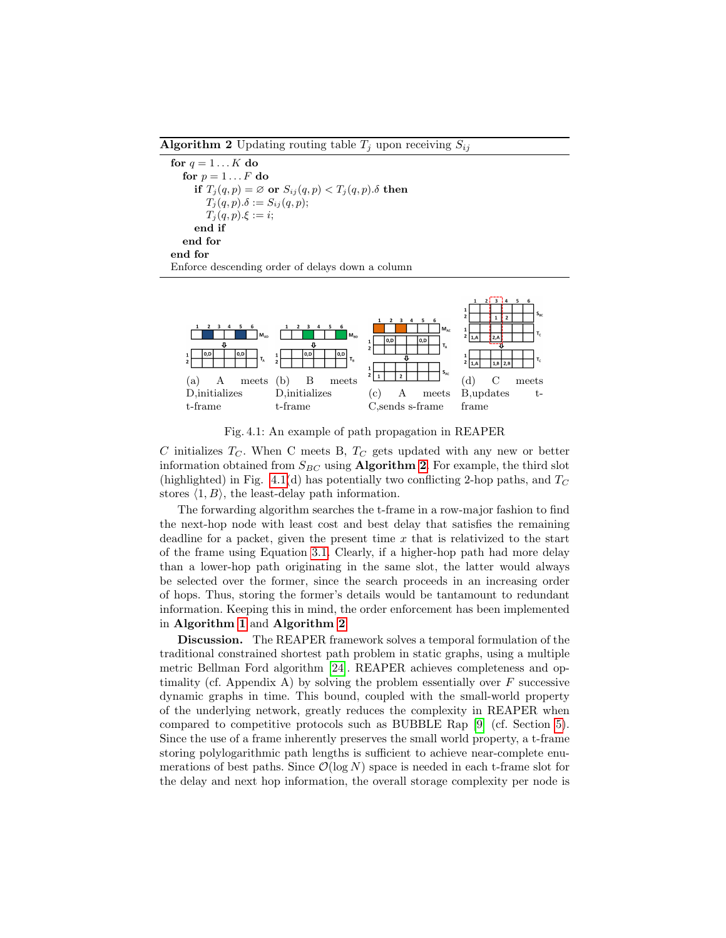<span id="page-10-0"></span>**Algorithm 2** Updating routing table  $T_i$  upon receiving  $S_{ij}$ 

```
for q = 1...K do
  for p = 1 \dots F do
     if T_j(q, p) = \emptyset or S_{ij}(q, p) < T_j(q, p) \delta then
        T_j(q,p).\delta := S_{ij}(q,p);T_j(q, p) \xi := i;end if
  end for
end for
Enforce descending order of delays down a column
```
<span id="page-10-1"></span>

Fig. 4.1: An example of path propagation in REAPER

C initializes  $T_C$ . When C meets B,  $T_C$  gets updated with any new or better information obtained from  $S_{BC}$  using **Algorithm [2](#page-10-0).** For example, the third slot (highlighted) in Fig. [4.1\(](#page-10-1)d) has potentially two conflicting 2-hop paths, and  $T_C$ stores  $\langle 1, B \rangle$ , the least-delay path information.

The forwarding algorithm searches the t-frame in a row-major fashion to find the next-hop node with least cost and best delay that satisfies the remaining deadline for a packet, given the present time  $x$  that is relativized to the start of the frame using Equation [3.1.](#page-7-1) Clearly, if a higher-hop path had more delay than a lower-hop path originating in the same slot, the latter would always be selected over the former, since the search proceeds in an increasing order of hops. Thus, storing the former's details would be tantamount to redundant information. Keeping this in mind, the order enforcement has been implemented in Algorithm [1](#page-9-0) and Algorithm [2](#page-10-0).

Discussion. The REAPER framework solves a temporal formulation of the traditional constrained shortest path problem in static graphs, using a multiple metric Bellman Ford algorithm [\[24\]](#page-14-22). REAPER achieves completeness and optimality (cf. Appendix A) by solving the problem essentially over  $F$  successive dynamic graphs in time. This bound, coupled with the small-world property of the underlying network, greatly reduces the complexity in REAPER when compared to competitive protocols such as BUBBLE Rap [\[9\]](#page-14-7) (cf. Section [5\)](#page-11-0). Since the use of a frame inherently preserves the small world property, a t-frame storing polylogarithmic path lengths is sufficient to achieve near-complete enumerations of best paths. Since  $\mathcal{O}(\log N)$  space is needed in each t-frame slot for the delay and next hop information, the overall storage complexity per node is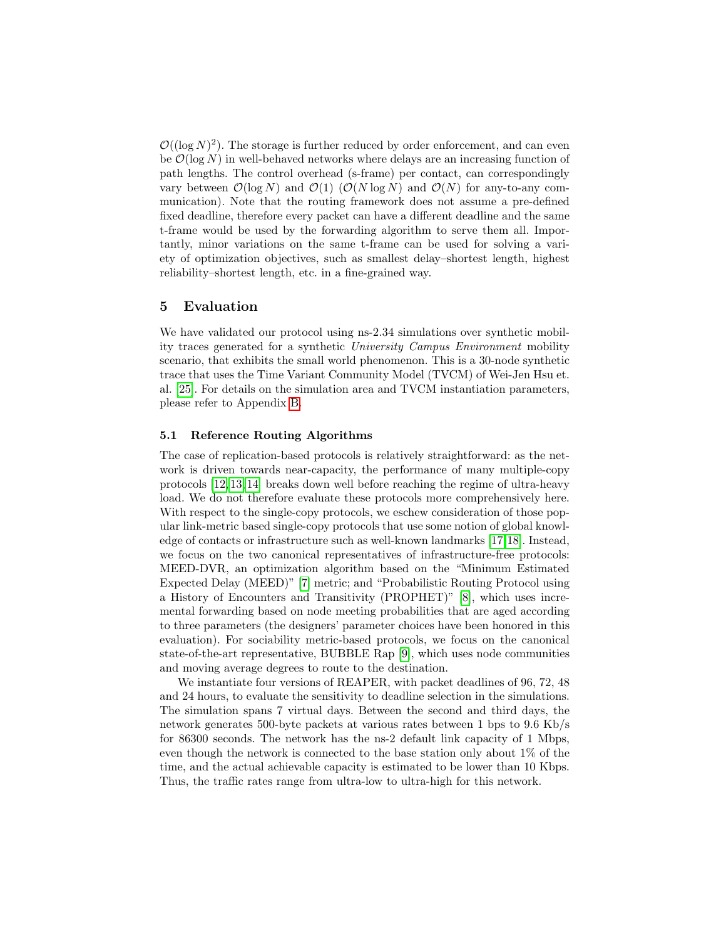$\mathcal{O}((\log N)^2)$ . The storage is further reduced by order enforcement, and can even be  $\mathcal{O}(\log N)$  in well-behaved networks where delays are an increasing function of path lengths. The control overhead (s-frame) per contact, can correspondingly vary between  $\mathcal{O}(\log N)$  and  $\mathcal{O}(1)$  ( $\mathcal{O}(N \log N)$ ) and  $\mathcal{O}(N)$  for any-to-any communication). Note that the routing framework does not assume a pre-defined fixed deadline, therefore every packet can have a different deadline and the same t-frame would be used by the forwarding algorithm to serve them all. Importantly, minor variations on the same t-frame can be used for solving a variety of optimization objectives, such as smallest delay–shortest length, highest reliability–shortest length, etc. in a fine-grained way.

## <span id="page-11-0"></span>5 Evaluation

We have validated our protocol using ns-2.34 simulations over synthetic mobility traces generated for a synthetic University Campus Environment mobility scenario, that exhibits the small world phenomenon. This is a 30-node synthetic trace that uses the Time Variant Community Model (TVCM) of Wei-Jen Hsu et. al. [\[25\]](#page-14-23). For details on the simulation area and TVCM instantiation parameters, please refer to Appendix [B.](#page-20-0)

#### 5.1 Reference Routing Algorithms

The case of replication-based protocols is relatively straightforward: as the network is driven towards near-capacity, the performance of many multiple-copy protocols [\[12,](#page-14-10) [13,](#page-14-11) [14\]](#page-14-12) breaks down well before reaching the regime of ultra-heavy load. We do not therefore evaluate these protocols more comprehensively here. With respect to the single-copy protocols, we eschew consideration of those popular link-metric based single-copy protocols that use some notion of global knowledge of contacts or infrastructure such as well-known landmarks [\[17,](#page-14-15)[18\]](#page-14-16). Instead, we focus on the two canonical representatives of infrastructure-free protocols: MEED-DVR, an optimization algorithm based on the "Minimum Estimated Expected Delay (MEED)" [\[7\]](#page-14-5) metric; and "Probabilistic Routing Protocol using a History of Encounters and Transitivity (PROPHET)" [\[8\]](#page-14-6), which uses incremental forwarding based on node meeting probabilities that are aged according to three parameters (the designers' parameter choices have been honored in this evaluation). For sociability metric-based protocols, we focus on the canonical state-of-the-art representative, BUBBLE Rap [\[9\]](#page-14-7), which uses node communities and moving average degrees to route to the destination.

We instantiate four versions of REAPER, with packet deadlines of 96, 72, 48 and 24 hours, to evaluate the sensitivity to deadline selection in the simulations. The simulation spans 7 virtual days. Between the second and third days, the network generates 500-byte packets at various rates between 1 bps to 9.6 Kb/s for 86300 seconds. The network has the ns-2 default link capacity of 1 Mbps, even though the network is connected to the base station only about 1% of the time, and the actual achievable capacity is estimated to be lower than 10 Kbps. Thus, the traffic rates range from ultra-low to ultra-high for this network.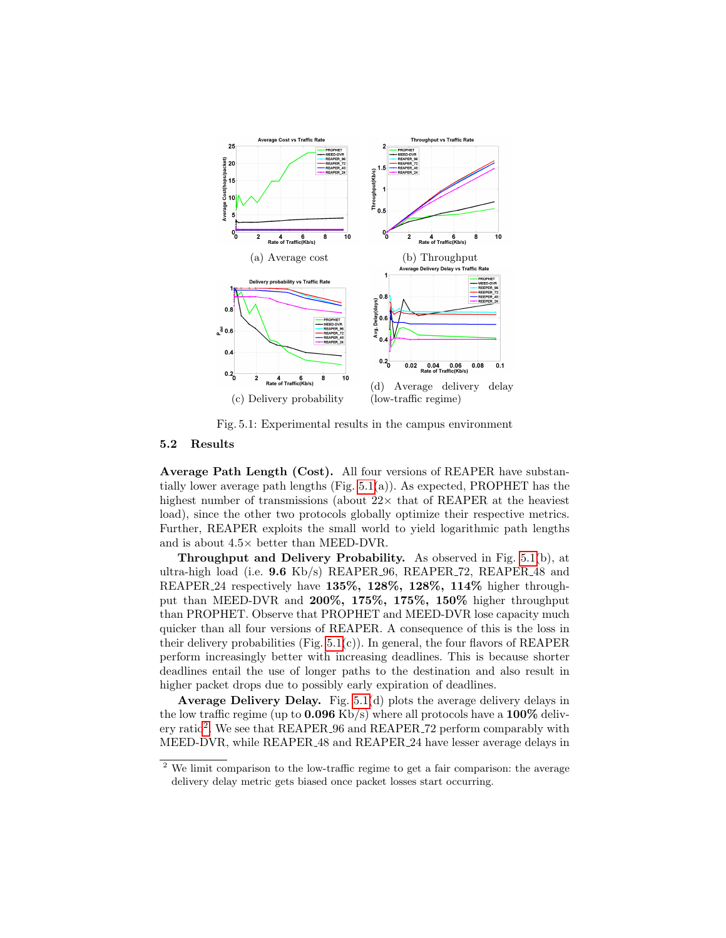<span id="page-12-0"></span>

Fig. 5.1: Experimental results in the campus environment

#### 5.2 Results

Average Path Length (Cost). All four versions of REAPER have substantially lower average path lengths (Fig.  $5.1(a)$ ). As expected, PROPHET has the highest number of transmissions (about  $22 \times$  that of REAPER at the heaviest load), since the other two protocols globally optimize their respective metrics. Further, REAPER exploits the small world to yield logarithmic path lengths and is about 4.5× better than MEED-DVR.

Throughput and Delivery Probability. As observed in Fig. [5.1\(](#page-12-0)b), at ultra-high load (i.e.  $9.6$  Kb/s) REAPER 96, REAPER 72, REAPER 48 and REAPER<sub>24</sub> respectively have 135%, 128%, 128%, 114% higher throughput than MEED-DVR and 200%, 175%, 175%, 150% higher throughput than PROPHET. Observe that PROPHET and MEED-DVR lose capacity much quicker than all four versions of REAPER. A consequence of this is the loss in their delivery probabilities (Fig.  $5.1(c)$ ). In general, the four flavors of REAPER perform increasingly better with increasing deadlines. This is because shorter deadlines entail the use of longer paths to the destination and also result in higher packet drops due to possibly early expiration of deadlines.

Average Delivery Delay. Fig. [5.1\(](#page-12-0)d) plots the average delivery delays in the low traffic regime (up to  $0.096$  Kb/s) where all protocols have a  $100\%$  deliv-ery ratio<sup>[2](#page-12-1)</sup>. We see that REAPER<sub>-96</sub> and REAPER<sub>-72</sub> perform comparably with MEED-DVR, while REAPER 48 and REAPER 24 have lesser average delays in

<span id="page-12-1"></span><sup>&</sup>lt;sup>2</sup> We limit comparison to the low-traffic regime to get a fair comparison: the average delivery delay metric gets biased once packet losses start occurring.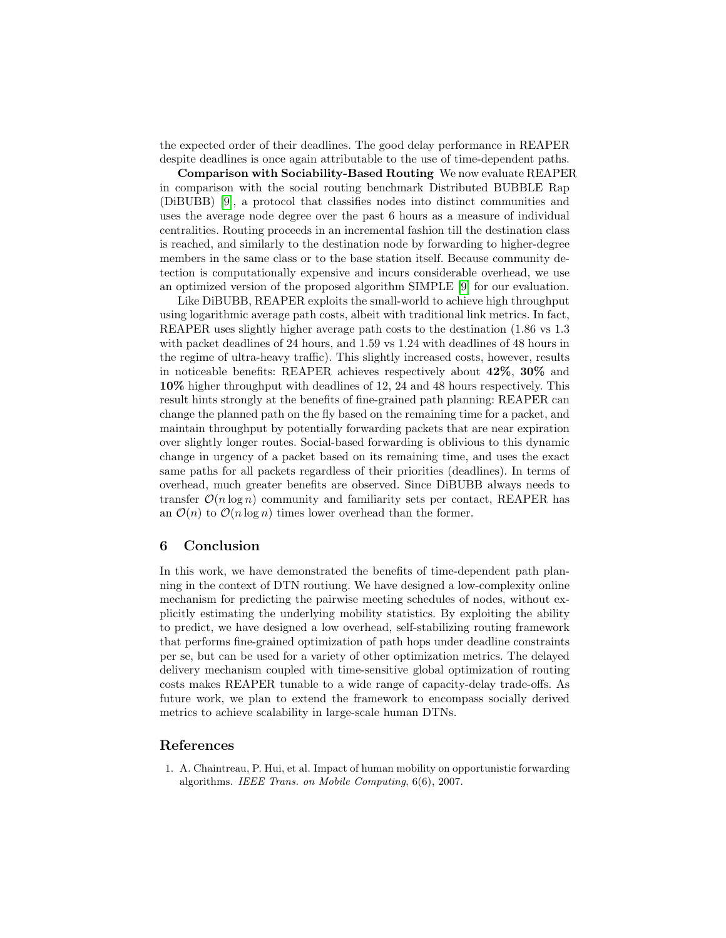the expected order of their deadlines. The good delay performance in REAPER despite deadlines is once again attributable to the use of time-dependent paths.

Comparison with Sociability-Based Routing We now evaluate REAPER in comparison with the social routing benchmark Distributed BUBBLE Rap (DiBUBB) [\[9\]](#page-14-7), a protocol that classifies nodes into distinct communities and uses the average node degree over the past 6 hours as a measure of individual centralities. Routing proceeds in an incremental fashion till the destination class is reached, and similarly to the destination node by forwarding to higher-degree members in the same class or to the base station itself. Because community detection is computationally expensive and incurs considerable overhead, we use an optimized version of the proposed algorithm SIMPLE [\[9\]](#page-14-7) for our evaluation.

Like DiBUBB, REAPER exploits the small-world to achieve high throughput using logarithmic average path costs, albeit with traditional link metrics. In fact, REAPER uses slightly higher average path costs to the destination (1.86 vs 1.3 with packet deadlines of 24 hours, and 1.59 vs 1.24 with deadlines of 48 hours in the regime of ultra-heavy traffic). This slightly increased costs, however, results in noticeable benefits: REAPER achieves respectively about 42%, 30% and 10% higher throughput with deadlines of 12, 24 and 48 hours respectively. This result hints strongly at the benefits of fine-grained path planning: REAPER can change the planned path on the fly based on the remaining time for a packet, and maintain throughput by potentially forwarding packets that are near expiration over slightly longer routes. Social-based forwarding is oblivious to this dynamic change in urgency of a packet based on its remaining time, and uses the exact same paths for all packets regardless of their priorities (deadlines). In terms of overhead, much greater benefits are observed. Since DiBUBB always needs to transfer  $\mathcal{O}(n \log n)$  community and familiarity sets per contact, REAPER has an  $\mathcal{O}(n)$  to  $\mathcal{O}(n \log n)$  times lower overhead than the former.

## <span id="page-13-1"></span>6 Conclusion

In this work, we have demonstrated the benefits of time-dependent path planning in the context of DTN routiung. We have designed a low-complexity online mechanism for predicting the pairwise meeting schedules of nodes, without explicitly estimating the underlying mobility statistics. By exploiting the ability to predict, we have designed a low overhead, self-stabilizing routing framework that performs fine-grained optimization of path hops under deadline constraints per se, but can be used for a variety of other optimization metrics. The delayed delivery mechanism coupled with time-sensitive global optimization of routing costs makes REAPER tunable to a wide range of capacity-delay trade-offs. As future work, we plan to extend the framework to encompass socially derived metrics to achieve scalability in large-scale human DTNs.

## References

<span id="page-13-0"></span>1. A. Chaintreau, P. Hui, et al. Impact of human mobility on opportunistic forwarding algorithms. IEEE Trans. on Mobile Computing, 6(6), 2007.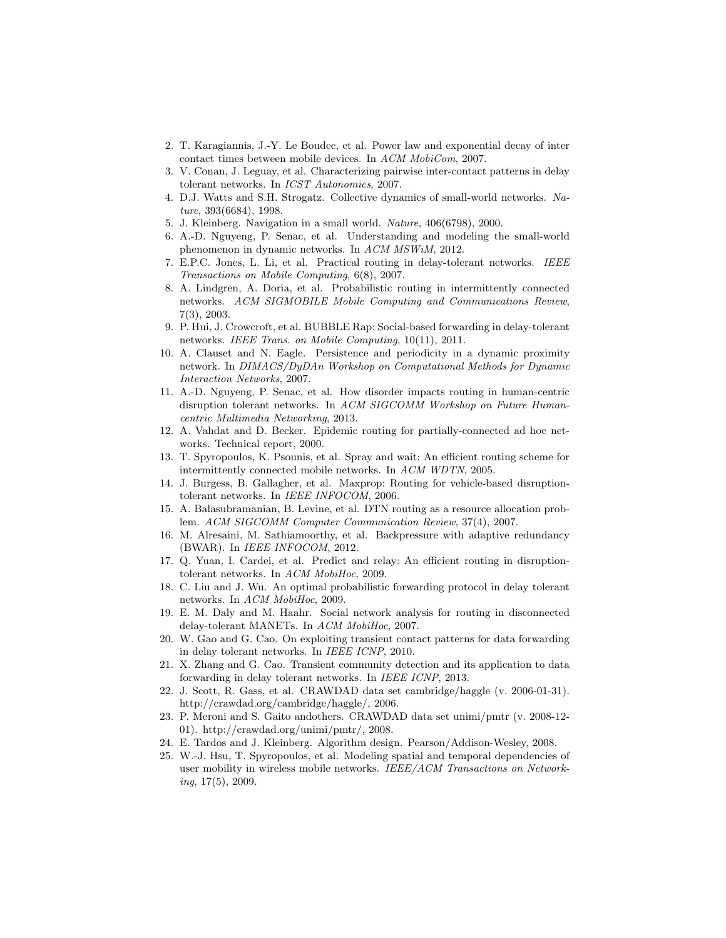- <span id="page-14-0"></span>2. T. Karagiannis, J.-Y. Le Boudec, et al. Power law and exponential decay of inter contact times between mobile devices. In ACM MobiCom, 2007.
- <span id="page-14-1"></span>3. V. Conan, J. Leguay, et al. Characterizing pairwise inter-contact patterns in delay tolerant networks. In ICST Autonomics, 2007.
- <span id="page-14-2"></span>4. D.J. Watts and S.H. Strogatz. Collective dynamics of small-world networks. Nature, 393(6684), 1998.
- <span id="page-14-3"></span>5. J. Kleinberg. Navigation in a small world. Nature, 406(6798), 2000.
- <span id="page-14-4"></span>6. A.-D. Nguyeng, P. Senac, et al. Understanding and modeling the small-world phenomenon in dynamic networks. In ACM MSWiM, 2012.
- <span id="page-14-5"></span>7. E.P.C. Jones, L. Li, et al. Practical routing in delay-tolerant networks. IEEE Transactions on Mobile Computing, 6(8), 2007.
- <span id="page-14-6"></span>8. A. Lindgren, A. Doria, et al. Probabilistic routing in intermittently connected networks. ACM SIGMOBILE Mobile Computing and Communications Review, 7(3), 2003.
- <span id="page-14-7"></span>9. P. Hui, J. Crowcroft, et al. BUBBLE Rap: Social-based forwarding in delay-tolerant networks. IEEE Trans. on Mobile Computing, 10(11), 2011.
- <span id="page-14-8"></span>10. A. Clauset and N. Eagle. Persistence and periodicity in a dynamic proximity network. In DIMACS/DyDAn Workshop on Computational Methods for Dynamic Interaction Networks, 2007.
- <span id="page-14-9"></span>11. A.-D. Nguyeng, P. Senac, et al. How disorder impacts routing in human-centric disruption tolerant networks. In ACM SIGCOMM Workshop on Future Humancentric Multimedia Networking, 2013.
- <span id="page-14-10"></span>12. A. Vahdat and D. Becker. Epidemic routing for partially-connected ad hoc networks. Technical report, 2000.
- <span id="page-14-11"></span>13. T. Spyropoulos, K. Psounis, et al. Spray and wait: An efficient routing scheme for intermittently connected mobile networks. In ACM WDTN, 2005.
- <span id="page-14-12"></span>14. J. Burgess, B. Gallagher, et al. Maxprop: Routing for vehicle-based disruptiontolerant networks. In IEEE INFOCOM, 2006.
- <span id="page-14-13"></span>15. A. Balasubramanian, B. Levine, et al. DTN routing as a resource allocation problem. ACM SIGCOMM Computer Communication Review, 37(4), 2007.
- <span id="page-14-14"></span>16. M. Alresaini, M. Sathiamoorthy, et al. Backpressure with adaptive redundancy (BWAR). In IEEE INFOCOM, 2012.
- <span id="page-14-15"></span>17. Q. Yuan, I. Cardei, et al. Predict and relay: An efficient routing in disruptiontolerant networks. In ACM MobiHoc, 2009.
- <span id="page-14-16"></span>18. C. Liu and J. Wu. An optimal probabilistic forwarding protocol in delay tolerant networks. In ACM MobiHoc, 2009.
- <span id="page-14-17"></span>19. E. M. Daly and M. Haahr. Social network analysis for routing in disconnected delay-tolerant MANETs. In ACM MobiHoc, 2007.
- <span id="page-14-18"></span>20. W. Gao and G. Cao. On exploiting transient contact patterns for data forwarding in delay tolerant networks. In IEEE ICNP, 2010.
- <span id="page-14-19"></span>21. X. Zhang and G. Cao. Transient community detection and its application to data forwarding in delay tolerant networks. In IEEE ICNP, 2013.
- <span id="page-14-20"></span>22. J. Scott, R. Gass, et al. CRAWDAD data set cambridge/haggle (v. 2006-01-31). http://crawdad.org/cambridge/haggle/, 2006.
- <span id="page-14-21"></span>23. P. Meroni and S. Gaito andothers. CRAWDAD data set unimi/pmtr (v. 2008-12- 01). http://crawdad.org/unimi/pmtr/, 2008.
- <span id="page-14-22"></span>24. E. Tardos and J. Kleinberg. Algorithm design. Pearson/Addison-Wesley, 2008.
- <span id="page-14-23"></span>25. W.-J. Hsu, T. Spyropoulos, et al. Modeling spatial and temporal dependencies of user mobility in wireless mobile networks. IEEE/ACM Transactions on Networking, 17(5), 2009.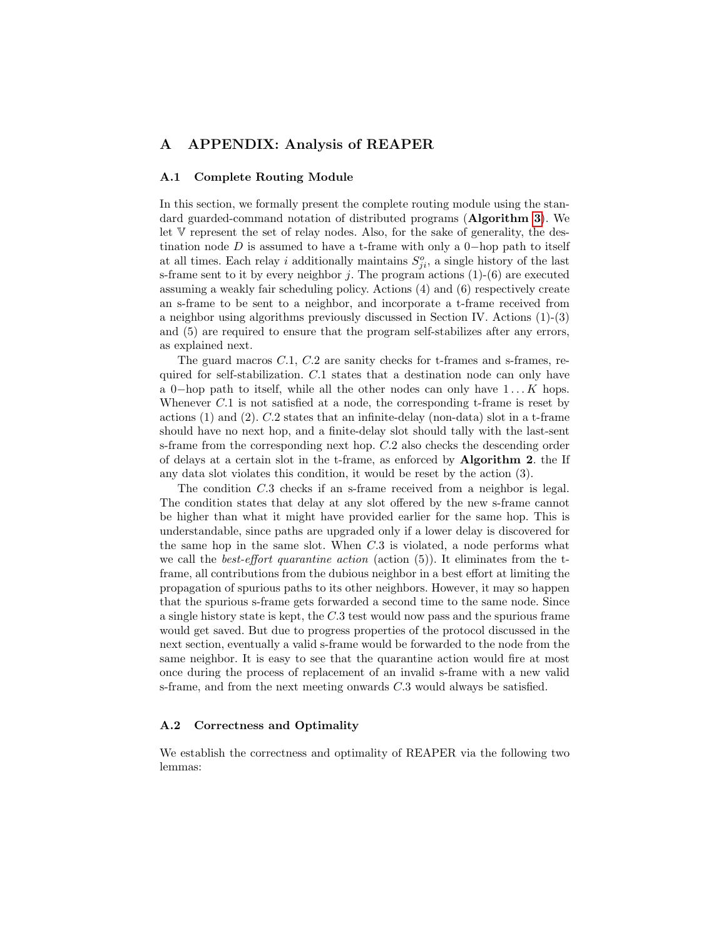## A APPENDIX: Analysis of REAPER

#### A.1 Complete Routing Module

In this section, we formally present the complete routing module using the standard guarded-command notation of distributed programs (Algorithm [3](#page-16-0)). We let V represent the set of relay nodes. Also, for the sake of generality, the destination node  $D$  is assumed to have a t-frame with only a 0-hop path to itself at all times. Each relay i additionally maintains  $S_{ji}^o$ , a single history of the last s-frame sent to it by every neighbor  $j$ . The program actions  $(1)-(6)$  are executed assuming a weakly fair scheduling policy. Actions (4) and (6) respectively create an s-frame to be sent to a neighbor, and incorporate a t-frame received from a neighbor using algorithms previously discussed in Section IV. Actions (1)-(3) and (5) are required to ensure that the program self-stabilizes after any errors, as explained next.

The guard macros C.1, C.2 are sanity checks for t-frames and s-frames, required for self-stabilization. C.1 states that a destination node can only have a 0-hop path to itself, while all the other nodes can only have  $1 \dots K$  hops. Whenever C.1 is not satisfied at a node, the corresponding t-frame is reset by actions (1) and (2). C.2 states that an infinite-delay (non-data) slot in a t-frame should have no next hop, and a finite-delay slot should tally with the last-sent s-frame from the corresponding next hop. C.2 also checks the descending order of delays at a certain slot in the t-frame, as enforced by Algorithm 2. the If any data slot violates this condition, it would be reset by the action (3).

The condition C.3 checks if an s-frame received from a neighbor is legal. The condition states that delay at any slot offered by the new s-frame cannot be higher than what it might have provided earlier for the same hop. This is understandable, since paths are upgraded only if a lower delay is discovered for the same hop in the same slot. When C.3 is violated, a node performs what we call the *best-effort quarantine action* (action  $(5)$ ). It eliminates from the tframe, all contributions from the dubious neighbor in a best effort at limiting the propagation of spurious paths to its other neighbors. However, it may so happen that the spurious s-frame gets forwarded a second time to the same node. Since a single history state is kept, the C.3 test would now pass and the spurious frame would get saved. But due to progress properties of the protocol discussed in the next section, eventually a valid s-frame would be forwarded to the node from the same neighbor. It is easy to see that the quarantine action would fire at most once during the process of replacement of an invalid s-frame with a new valid s-frame, and from the next meeting onwards C.3 would always be satisfied.

#### A.2 Correctness and Optimality

We establish the correctness and optimality of REAPER via the following two lemmas: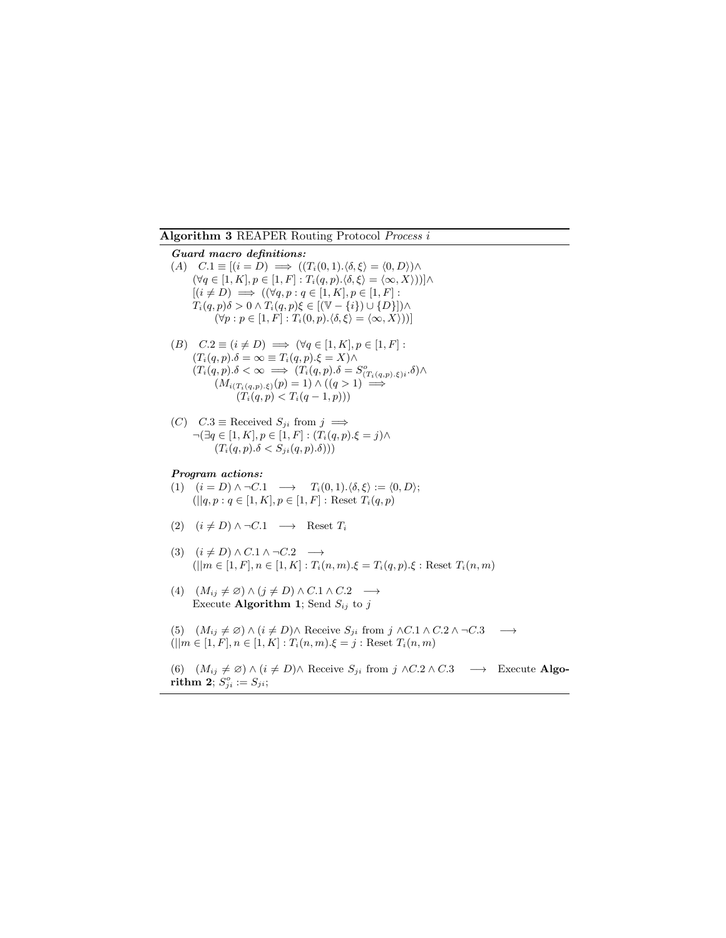<span id="page-16-0"></span>Algorithm 3 REAPER Routing Protocol Process i

Guard macro definitions: (A)  $C.1 \equiv [(i = D) \implies ((T_i(0, 1).\langle \delta, \xi \rangle = \langle 0, D \rangle) \wedge$  $(\forall q \in [1, K], p \in [1, F] : T_i(q, p) . \langle \delta, \xi \rangle = \langle \infty, X \rangle))]\wedge$  $[(i \neq D) \implies ((\forall q, p : q \in [1, K], p \in [1, F])$ :  $T_i(q, p)\delta > 0 \wedge T_i(q, p)\xi \in [(\mathbb{V}-\{i\}) \cup \{D\}]) \wedge$  $(\forall p : p \in [1, F] : T_i(0, p). \langle \delta, \xi \rangle = \langle \infty, X \rangle))$ (B)  $C.2 \equiv (i \neq D) \implies (\forall q \in [1, K], p \in [1, F]$ :  $(T_i(q, p) \cdot \delta = \infty \equiv T_i(q, p) \cdot \xi = X) \wedge$  $(T_i(q, p) \cdot \delta < \infty \implies (T_i(q, p) \cdot \delta = S^o_{(T_i(q, p) \cdot \xi)i} \cdot \delta) \wedge$  $(M_{i(T_i(q,p),\xi)}(p) = 1) \wedge ((q > 1)) \longrightarrow$  $(T_i(q, p) < T_i(q - 1, p)))$ (C)  $C.3 \equiv \text{Received } S_{ji} \text{ from } j \implies$  $\neg(\exists q\in [1,K],p\in [1,F]:(T_i(q,p).\xi=j)\wedge$  $(T_i(q, p) \cdot \delta < S_{ji}(q, p) \cdot \delta)))$ Program actions: (1)  $(i = D) \land \neg C.1 \longrightarrow T_i(0, 1).\langle \delta, \xi \rangle := \langle 0, D \rangle;$  $(||q, p: q \in [1, K], p \in [1, F] :$  Reset  $T_i(q, p)$ (2)  $(i \neq D) \land \neg C.1 \longrightarrow$  Reset  $T_i$ 

- (3)  $(i \neq D) \land C.1 \land \neg C.2 \longrightarrow$  $(||m \in [1, F], n \in [1, K] : T_i(n, m), \xi = T_i(q, p), \xi : \text{Reset } T_i(n, m)$
- (4)  $(M_{ij} \neq \emptyset) \wedge (j \neq D) \wedge C.1 \wedge C.2 \rightarrow$ Execute Algorithm 1; Send  $S_{ij}$  to j
- (5)  $(M_{ij} \neq \emptyset) \wedge (i \neq D) \wedge$  Receive  $S_{ji}$  from  $j \wedge C.1 \wedge C.2 \wedge \neg C.3 \longrightarrow$  $(||m \in [1, F], n \in [1, K] : T_i(n, m), \xi = j : \text{Reset } T_i(n, m)$

(6)  $(M_{ij} \neq \emptyset) \wedge (i \neq D) \wedge$  Receive  $S_{ji}$  from  $j \wedge C.2 \wedge C.3 \longrightarrow$  Execute Algo- $\textbf{rithm 2}; S^o_{ji} := S_{ji};$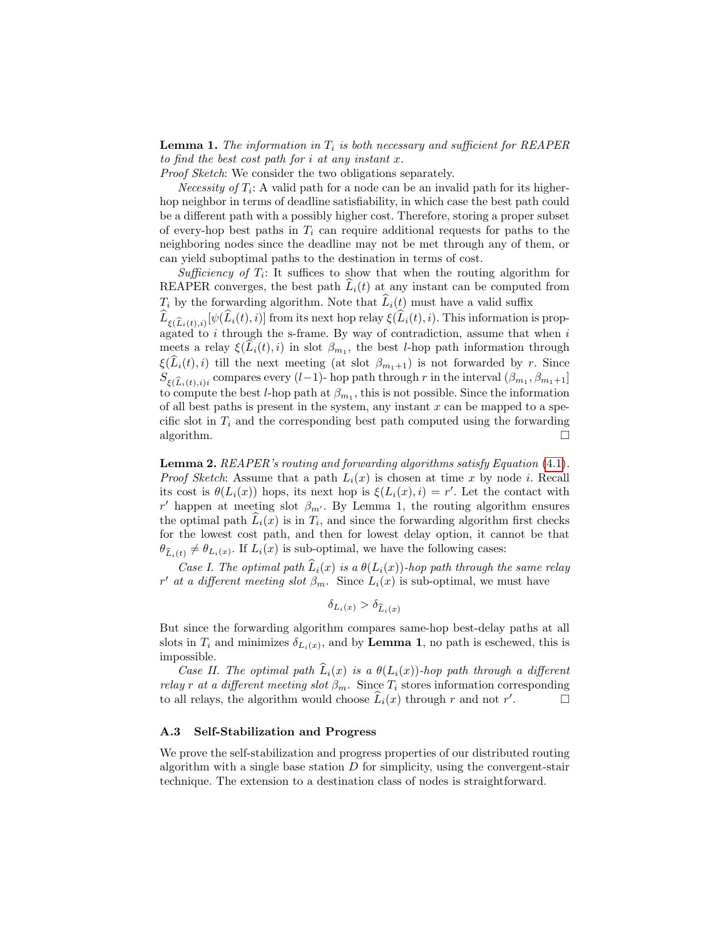**Lemma 1.** The information in  $T_i$  is both necessary and sufficient for REAPER to find the best cost path for  $i$  at any instant  $x$ .

Proof Sketch: We consider the two obligations separately.

Necessity of  $T_i$ : A valid path for a node can be an invalid path for its higherhop neighbor in terms of deadline satisfiability, in which case the best path could be a different path with a possibly higher cost. Therefore, storing a proper subset of every-hop best paths in  $T_i$  can require additional requests for paths to the neighboring nodes since the deadline may not be met through any of them, or can yield suboptimal paths to the destination in terms of cost.

Sufficiency of  $T_i$ : It suffices to show that when the routing algorithm for REAPER converges, the best path  $\widehat{L}_i(t)$  at any instant can be computed from  $T_i$  by the forwarding algorithm. Note that  $\widehat{L}_i(t)$  must have a valid suffix

 $L_{\xi(\widehat{L}_i(t),i)}[\psi(L_i(t),i)]$  from its next hop relay  $\xi(L_i(t),i)$ . This information is propagated to  $i$  through the s-frame. By way of contradiction, assume that when  $i$ meets a relay  $\xi(L_i(t), i)$  in slot  $\beta_{m_1}$ , the best *l*-hop path information through  $\xi(L_i(t), i)$  till the next meeting (at slot  $\beta_{m_1+1}$ ) is not forwarded by r. Since  $S_{\xi(\widehat{L}_i(t),i)i}$  compares every  $(l-1)$ - hop path through r in the interval  $(\beta_{m_1}, \beta_{m_1+1}]$ to compute the best *l*-hop path at  $\beta_{m_1}$ , this is not possible. Since the information of all best paths is present in the system, any instant  $x$  can be mapped to a specific slot in  $T_i$  and the corresponding best path computed using the forwarding algorithm.

Lemma 2. REAPER's routing and forwarding algorithms satisfy Equation [\(4.1\)](#page-8-0). *Proof Sketch:* Assume that a path  $L_i(x)$  is chosen at time x by node i. Recall its cost is  $\theta(L_i(x))$  hops, its next hop is  $\xi(L_i(x), i) = r'$ . Let the contact with r' happen at meeting slot  $\beta_{m'}$ . By Lemma 1, the routing algorithm ensures the optimal path  $L_i(x)$  is in  $T_i$ , and since the forwarding algorithm first checks for the lowest cost path, and then for lowest delay option, it cannot be that  $\theta_{\widehat{L}_i(t)} \neq \theta_{L_i(x)}$ . If  $L_i(x)$  is sub-optimal, we have the following cases:

Case I. The optimal path  $\hat{L}_i(x)$  is a  $\theta(L_i(x))$ -hop path through the same relay r' at a different meeting slot  $\beta_m$ . Since  $L_i(x)$  is sub-optimal, we must have

$$
\delta_{L_i(x)} > \delta_{\widehat{L}_i(x)}
$$

But since the forwarding algorithm compares same-hop best-delay paths at all slots in  $T_i$  and minimizes  $\delta_{L_i(x)}$ , and by **Lemma 1**, no path is eschewed, this is impossible.

Case II. The optimal path  $\widehat{L}_i(x)$  is a  $\theta(L_i(x))$ -hop path through a different relay r at a different meeting slot  $\beta_m$ . Since  $T_i$  stores information corresponding to all relays, the algorithm would choose  $\widehat{L}_i(x)$  through r and not r'  $\Box$ 

#### A.3 Self-Stabilization and Progress

We prove the self-stabilization and progress properties of our distributed routing algorithm with a single base station  $D$  for simplicity, using the convergent-stair technique. The extension to a destination class of nodes is straightforward.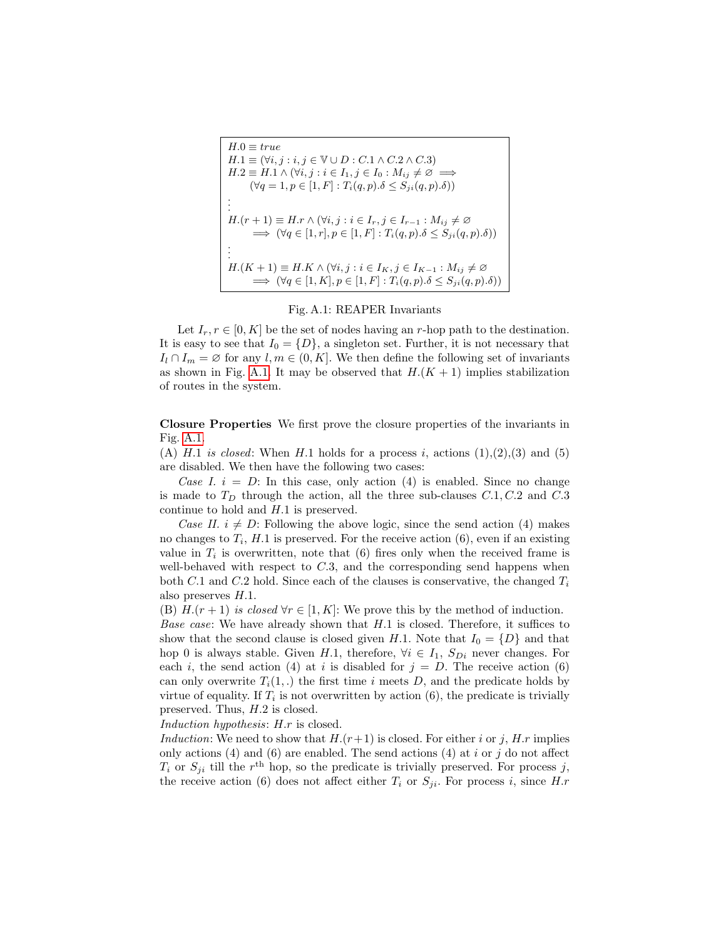<span id="page-18-0"></span>

| $H.0 \equiv true$                                                                                          |
|------------------------------------------------------------------------------------------------------------|
| $H.1 \equiv (\forall i, j : i, j \in \mathbb{V} \cup D : C.1 \wedge C.2 \wedge C.3)$                       |
| $H.2 \equiv H.1 \wedge (\forall i, j : i \in I_1, j \in I_0 : M_{ij} \neq \emptyset \implies$              |
| $(\forall q = 1, p \in [1, F] : T_i(q, p) \delta \leq S_{ji}(q, p) \delta)$                                |
|                                                                                                            |
| $H.(r+1) \equiv H.r \wedge (\forall i, j : i \in I_r, j \in I_{r-1} : M_{ij} \neq \emptyset)$              |
| $\implies (\forall q \in [1, r], p \in [1, F] : T_i(q, p) \ldotp \delta \leq S_{ji}(q, p) \ldotp \delta))$ |
|                                                                                                            |
| $H.(K+1) \equiv H.K \wedge (\forall i, j : i \in I_K, j \in I_{K-1} : M_{ij} \neq \emptyset$               |
| $\implies (\forall q \in [1, K], p \in [1, F] : T_i(q, p) \ldotp \delta \leq S_{ji}(q, p) \ldotp \delta))$ |

#### Fig. A.1: REAPER Invariants

Let  $I_r$ ,  $r \in [0, K]$  be the set of nodes having an r-hop path to the destination. It is easy to see that  $I_0 = \{D\}$ , a singleton set. Further, it is not necessary that  $I_l \cap I_m = \emptyset$  for any  $l, m \in (0, K]$ . We then define the following set of invariants as shown in Fig. [A.1.](#page-18-0) It may be observed that  $H(K + 1)$  implies stabilization of routes in the system.

Closure Properties We first prove the closure properties of the invariants in Fig. [A.1.](#page-18-0)

(A) H.1 is closed: When H.1 holds for a process i, actions  $(1),(2),(3)$  and  $(5)$ are disabled. We then have the following two cases:

Case I.  $i = D$ : In this case, only action (4) is enabled. Since no change is made to  $T_D$  through the action, all the three sub-clauses  $C.1, C.2$  and  $C.3$ continue to hold and H.1 is preserved.

Case II.  $i \neq D$ : Following the above logic, since the send action (4) makes no changes to  $T_i$ ,  $H.1$  is preserved. For the receive action  $(6)$ , even if an existing value in  $T_i$  is overwritten, note that (6) fires only when the received frame is well-behaved with respect to  $C.3$ , and the corresponding send happens when both C.1 and C.2 hold. Since each of the clauses is conservative, the changed  $T_i$ also preserves H.1.

(B)  $H(r+1)$  is closed  $\forall r \in [1, K]$ : We prove this by the method of induction.

Base case: We have already shown that H.1 is closed. Therefore, it suffices to show that the second clause is closed given H.1. Note that  $I_0 = \{D\}$  and that hop 0 is always stable. Given H.1, therefore,  $\forall i \in I_1$ ,  $S_{Di}$  never changes. For each i, the send action (4) at i is disabled for  $j = D$ . The receive action (6) can only overwrite  $T_i(1,.)$  the first time i meets D, and the predicate holds by virtue of equality. If  $T_i$  is not overwritten by action (6), the predicate is trivially preserved. Thus, H.2 is closed.

Induction hypothesis: H.r is closed.

Induction: We need to show that  $H(r+1)$  is closed. For either i or j, H.r implies only actions (4) and (6) are enabled. The send actions (4) at i or j do not affect  $T_i$  or  $S_{ji}$  till the  $r<sup>th</sup>$  hop, so the predicate is trivially preserved. For process j, the receive action (6) does not affect either  $T_i$  or  $S_{ji}$ . For process i, since H.r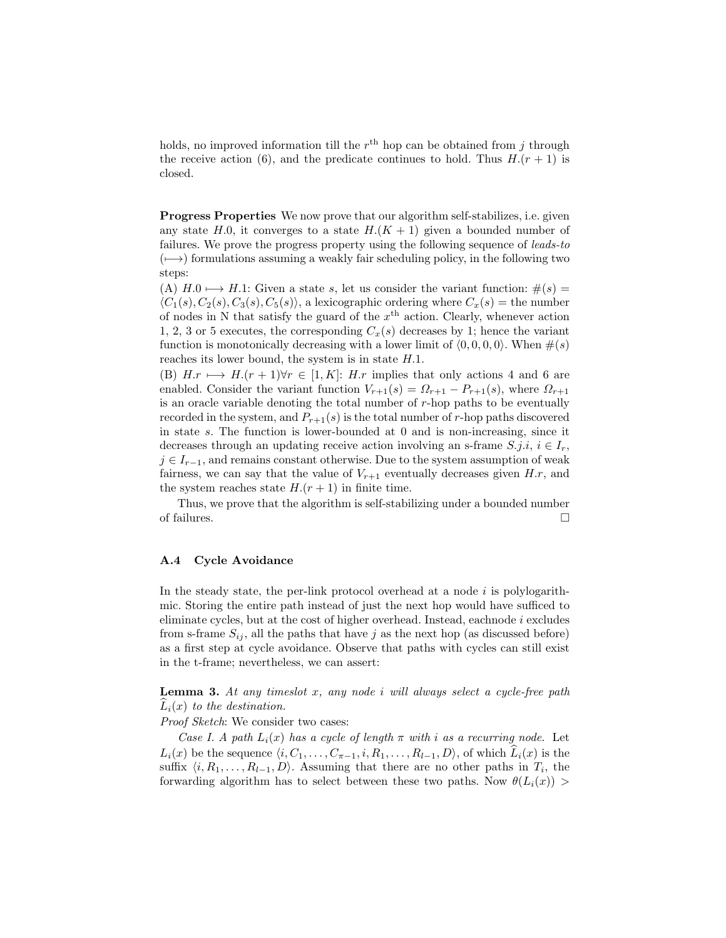holds, no improved information till the  $r<sup>th</sup>$  hop can be obtained from j through the receive action (6), and the predicate continues to hold. Thus  $H(r + 1)$  is closed.

Progress Properties We now prove that our algorithm self-stabilizes, i.e. given any state H.0, it converges to a state  $H(K + 1)$  given a bounded number of failures. We prove the progress property using the following sequence of leads-to  $(\mapsto)$  formulations assuming a weakly fair scheduling policy, in the following two steps:

(A)  $H.0 \rightarrow H.1$ : Given a state s, let us consider the variant function:  $\#(s) =$  $\langle C_1(s), C_2(s), C_3(s), C_5(s) \rangle$ , a lexicographic ordering where  $C_x(s)$  = the number of nodes in N that satisfy the guard of the  $x<sup>th</sup>$  action. Clearly, whenever action 1, 2, 3 or 5 executes, the corresponding  $C_x(s)$  decreases by 1; hence the variant function is monotonically decreasing with a lower limit of  $(0, 0, 0, 0)$ . When  $\#(s)$ reaches its lower bound, the system is in state H.1.

(B)  $H.r \longmapsto H.(r + 1)\forall r \in [1, K]: H.r$  implies that only actions 4 and 6 are enabled. Consider the variant function  $V_{r+1}(s) = \Omega_{r+1} - P_{r+1}(s)$ , where  $\Omega_{r+1}$ is an oracle variable denoting the total number of r-hop paths to be eventually recorded in the system, and  $P_{r+1}(s)$  is the total number of r-hop paths discovered in state s. The function is lower-bounded at 0 and is non-increasing, since it decreases through an updating receive action involving an s-frame  $S, j.i, i \in I_r$ ,  $j \in I_{r-1}$ , and remains constant otherwise. Due to the system assumption of weak fairness, we can say that the value of  $V_{r+1}$  eventually decreases given H.r, and the system reaches state  $H(r + 1)$  in finite time.

Thus, we prove that the algorithm is self-stabilizing under a bounded number of failures.  $\Box$ 

## A.4 Cycle Avoidance

In the steady state, the per-link protocol overhead at a node  $i$  is polylogarithmic. Storing the entire path instead of just the next hop would have sufficed to eliminate cycles, but at the cost of higher overhead. Instead, eachnode i excludes from s-frame  $S_{ij}$ , all the paths that have j as the next hop (as discussed before) as a first step at cycle avoidance. Observe that paths with cycles can still exist in the t-frame; nevertheless, we can assert:

**Lemma 3.** At any timeslot x, any node i will always select a cycle-free path  $\widehat{L}_i(x)$  to the destination.

#### Proof Sketch: We consider two cases:

Case I. A path  $L_i(x)$  has a cycle of length  $\pi$  with i as a recurring node. Let  $L_i(x)$  be the sequence  $\langle i, C_1, \ldots, C_{\pi-1}, i, R_1, \ldots, R_{l-1}, D \rangle$ , of which  $L_i(x)$  is the suffix  $\langle i, R_1, \ldots, R_{l-1}, D \rangle$ . Assuming that there are no other paths in  $T_i$ , the forwarding algorithm has to select between these two paths. Now  $\theta(L_i(x))$